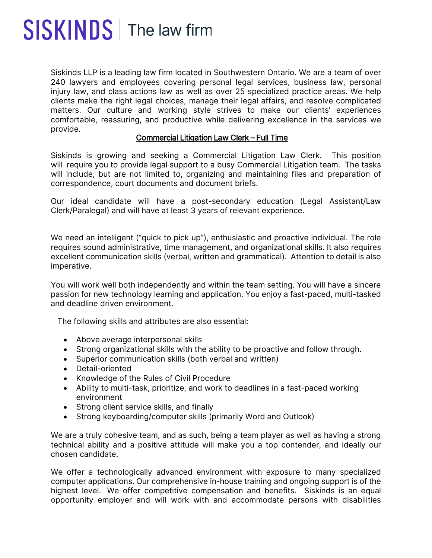## SISKINDS | The law firm

Siskinds LLP is a leading law firm located in Southwestern Ontario. We are a team of over 240 lawyers and employees covering personal legal services, business law, personal injury law, and class actions law as well as over 25 specialized practice areas. We help clients make the right legal choices, manage their legal affairs, and resolve complicated matters. Our culture and working style strives to make our clients' experiences comfortable, reassuring, and productive while delivering excellence in the services we provide.

## Commercial Litigation Law Clerk – Full Time

Siskinds is growing and seeking a Commercial Litigation Law Clerk. This position will require you to provide legal support to a busy Commercial Litigation team. The tasks will include, but are not limited to, organizing and maintaining files and preparation of correspondence, court documents and document briefs.

Our ideal candidate will have a post-secondary education (Legal Assistant/Law Clerk/Paralegal) and will have at least 3 years of relevant experience.

We need an intelligent ("quick to pick up"), enthusiastic and proactive individual. The role requires sound administrative, time management, and organizational skills. It also requires excellent communication skills (verbal, written and grammatical). Attention to detail is also imperative.

You will work well both independently and within the team setting. You will have a sincere passion for new technology learning and application. You enjoy a fast-paced, multi-tasked and deadline driven environment.

The following skills and attributes are also essential:

- Above average interpersonal skills
- Strong organizational skills with the ability to be proactive and follow through.
- Superior communication skills (both verbal and written)
- Detail-oriented
- Knowledge of the Rules of Civil Procedure
- Ability to multi-task, prioritize, and work to deadlines in a fast-paced working environment
- Strong client service skills, and finally
- Strong keyboarding/computer skills (primarily Word and Outlook)

We are a truly cohesive team, and as such, being a team player as well as having a strong technical ability and a positive attitude will make you a top contender, and ideally our chosen candidate.

We offer a technologically advanced environment with exposure to many specialized computer applications. Our comprehensive in-house training and ongoing support is of the highest level. We offer competitive compensation and benefits. Siskinds is an equal opportunity employer and will work with and accommodate persons with disabilities